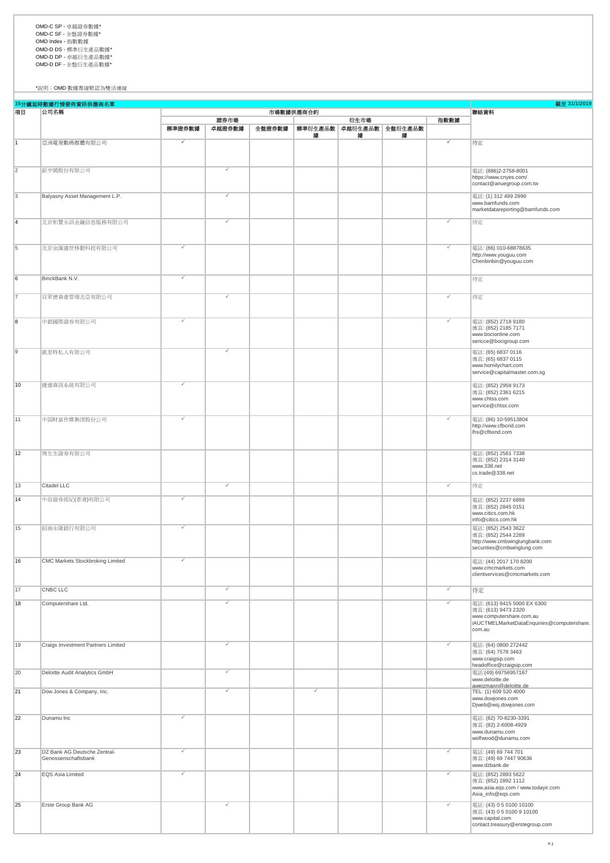OMD-C SP - 卓越證券數據\* OMD-C SF - 全盤證券數據\* OMD Index - 指數數據 OMD-D DS - 標準衍生產品數據\* OMD-D DP - 卓越衍生產品數據\* OMD-D DF - 全盤衍生產品數據\*

\*說明:OMD 數據專線默認為雙活連線

截至 **31/1/2019** 指數數據 標準證券數據 | 卓越證券數據 | 全盤證券數據 | 標準衍生產品數|卓越衍生產品數|全盤衍生產品數 據 據 據 1 亞洲電視數碼媒體有限公司 P P 待定 2 鉅亨網股份有限公司 P [電話](http://www.bamfunds.com/)[: \(886\)2-2758-8001](http://www.bamfunds.com/) [https://www.cnyes.com/](http://www.bamfunds.com/)  [contact@anuegroup.com.tw](http://www.bamfunds.com/) ing and the management L.P. The control of the control of the control of the control of the control of the control of the control of the control of the control of the control of the control of the control of the control o [www.bamfunds.com](http://www.bamfunds.com/) [marketdatareporting@bamfunds.com](http://www.bamfunds.com/) 4 北京和豐永訊金融信息服務有限公司 P P 待定 5 北京金匯盛世移動科技有限公司 マンファー マンファー マンファー マンコン アンディー アンディー アンディー アンディー (電話: (86) 010-68878635 http://www.youguu.com Chenbinbin@youguu.com 6 BinckBank N.V. P 待定 7 貝萊德資產管理北亞有限公司 P P 待定 8 中銀國際證券有限公司 P P 電話: (852) 2718 9180 傳真: (852) 2185 7171 www.bocionline.com sericce@bocigroup.com 9 凱思特私人有限公司 P 電話: (65) 6837 0116 傳真: (65) 6837 0115 www.homilychart.com service@capitalmaster.com.sg 10 捷達資訊系統有限公司 |<br>|電話: (852) 2958 9173<br>|傳真: (852) 2361 6215 www.chtss.com service@chtss.com 11 中国财富传媒集团股份公司 P P 電話: (86) 10-59513804 http://www.cfbond.com lhs@cfbond.com 12 周生生證券有限公司 電話: (852) 2581 7338 傳真: (852) 2314 3140 www.338.net cs.trade@338.net 13 Citadel LLC P P 待定 14 中信證券經紀(香港)有限公司 |<br>|電話: (852) 2237 6899<br>|傳真: (852) 2845 0151 www.citics.com.hk info@citics.com.hk 15 招商永隆銀行有限公司 P 電話: (852) 2543 3622 <sub>傳通: (</sub>852) 2544 2289 http://www.cmbwinglungbank.com securities@cmbwinglung.com 16 CMC Markets Stockbroking Limited <br>
16 CMC Markets Stockbroking Limited **P and Archaeology and Archaeology and Archaeology and Archaeology and Archaeology and Archaeology and Archaeology and Archaeology and Archaeology** www.cmcmarkets.com clientservices@cmcmarkets.com 17 CNBC LLC P P 待定 18 Computershare Ltd. P P 電話: (613) 9415 5000 EX 6300 傳真: (613) 9473 2320 www.computershare.com.au iAUCTMELMarketDataEnquiries@computershare. com.au 19 Craigs Investment Partners Limited P P 電話: (64) 0800 272442 傳真: (64) 7578 3463 www.craigsip.com headoffice@craigsip.com 20 Deloitte Audit Analytics GmbH P 電話:(49) 69756957167 www.deloitte.de aweizmann@deloitte.de<br>TEL: (1) 609 520 4000 21 Dow Jones & Company, Inc. www.dowjones.com Djweb@wsj.dowjones.com 22 Dunamu Inc P 電話: (82) 70-8230-3391 |电品: (52) 76 5250 555<br>|傅真: (82) 2-6008-4929 www.dunamu.com wolfwood@dunamu.com 23 DZ Bank AG Deutsche Zentral-Genossenschaftsbank 電話: (49) 69 744 701 傳真: (49) 69 7447 90636 www.dzbank.de 24 EQS Asia Limited P P 電話: (852) 2893 5622 傳真: (852) 2892 1112 www.asia.eqs.com / www.todayir.com Asia\_info@eqs.com 25 Erste Group Bank AG P P 電話: (43) 0 5 0100 10100 |电記: (43) 0 5 0100 10100<br>|傅真: (43) 0 5 0100 9 10100 www.capital.com contact.treasury@erstegroup.com **15**分鐘延時數據行情發佈資訊供應商名單 項目 公司名稱 證券市場 ,<br>市場數據供應商合約 2009年(1999年),第297年(1999年),第297年(1999年)。<br>1999年(1999年),第298年(1999年),第298年(1999年)。 衍生市場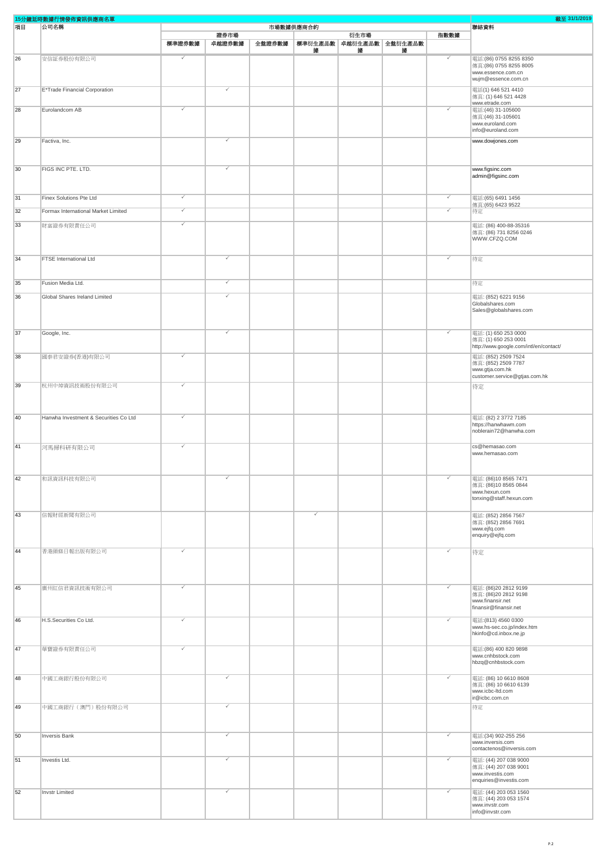| 15分鐘延時數據行情發佈資訊供應商名單 |                                       |              |                |        |           |                                      |   | 截至 31/1/2019 |                                                                                                     |
|---------------------|---------------------------------------|--------------|----------------|--------|-----------|--------------------------------------|---|--------------|-----------------------------------------------------------------------------------------------------|
| 項目                  | 公司名稱                                  |              |                |        | 市場數據供應商合約 |                                      |   |              | 聯絡資料                                                                                                |
|                     |                                       | 標準證券數據       | 證券市場<br>卓越證券數據 | 全盤證券數據 | 據         | 衍生市場<br>標準衍生產品數 卓越衍生產品數 全盤衍生產品數<br>據 | 據 | 指數數據         |                                                                                                     |
| 26                  | 安信証券股份有限公司                            | $\checkmark$ |                |        |           |                                      |   | ✓            | 電話: (86) 0755 8255 8350<br>傳真: (86) 0755 8255 8005<br>www.essence.com.cn<br>wujm@essence.com.cn     |
| 27                  | E*Trade Financial Corporation         |              |                |        |           |                                      |   |              | 電話(1) 646 521 4410<br>傳真: (1) 646 521 4428                                                          |
| 28                  | Eurolandcom AB                        | ✓            |                |        |           |                                      |   | ✓            | www.etrade.com<br>電話: (46) 31-105600<br>傳真: (46) 31-105601<br>www.euroland.com<br>info@euroland.com |
| 29                  | Factiva, Inc.                         |              |                |        |           |                                      |   |              | www.dowjones.com                                                                                    |
| 30                  | FIGS INC PTE. LTD.                    |              |                |        |           |                                      |   |              | www.figsinc.com<br>admin@figsinc.com                                                                |
| 31                  | Finex Solutions Pte Ltd               | ✓            |                |        |           |                                      |   | ✓            | 電話:(65) 6491 1456                                                                                   |
| 32                  | Formax International Market Limited   | ✓            |                |        |           |                                      |   | ✓            | 傳真: (65) 6423 9522<br>待定                                                                            |
| 33                  | 財富證券有限責任公司                            | ✓            |                |        |           |                                      |   |              | 電話: (86) 400-88-35316<br>傳真: (86) 731 8256 0246<br>WWW.CFZQ.COM                                     |
| 34                  | FTSE International Ltd                |              | $\checkmark$   |        |           |                                      |   | ✓            | 待定                                                                                                  |
| 35                  | Fusion Media Ltd.                     |              | $\checkmark$   |        |           |                                      |   |              | 待定                                                                                                  |
| 36                  | Global Shares Ireland Limited         |              | $\checkmark$   |        |           |                                      |   |              | 電話: (852) 6221 9156<br>Globalshares.com<br>Sales@globalshares.com                                   |
| 37                  | Google, Inc.                          |              |                |        |           |                                      |   | ✓            | 電話: (1) 650 253 0000<br>傳真: (1) 650 253 0001<br>http://www.google.com/intl/en/contact/              |
| 38                  | 國泰君安證券(香港)有限公司                        | ✓            |                |        |           |                                      |   |              | 電話: (852) 2509 7524<br>傳真: (852) 2509 7787<br>www.gtja.com.hk<br>customer.service@gtjas.com.hk      |
| 39                  | 杭州中焯資訊技術股份有限公司                        |              |                |        |           |                                      |   |              | 待定                                                                                                  |
| 40                  | Hanwha Investment & Securities Co Ltd |              |                |        |           |                                      |   |              | 電話: (82) 2 3772 7185<br>https://hanwhawm.com<br>noblerain72@hanwha.com                              |
| 41                  | 河馬掃科研有限公司                             |              |                |        |           |                                      |   |              | cs@hemasao.com<br>www.hemasao.com                                                                   |
| 42                  | 和訊資訊科技有限公司                            |              |                |        |           |                                      |   | ✓            | 電話: (86)10 8565 7471<br>傳真: (86)10 8565 0844<br>www.hexun.com<br>tonxing@staff.hexun.com            |
| 43                  | 信報財經新聞有限公司                            |              |                |        | ✓         |                                      |   |              | 電話: (852) 2856 7567<br>傳真: (852) 2856 7691<br>www.ejfq.com<br>enquiry@ejfq.com                      |
| 44                  | 香港頭條日報出版有限公司                          |              |                |        |           |                                      |   |              | 待定                                                                                                  |
| 45                  | 廣州紅信君資訊技術有限公司                         | ✓            |                |        |           |                                      |   | ✓            | 電話: (86)20 2812 9199<br>傳真: (86)20 2812 9198<br>www.finansir.net<br>finansir@finansir.net           |
| 46                  | H.S.Securities Co Ltd.                | ✓            |                |        |           |                                      |   | ✓            | 電話: (813) 4560 0300<br>www.hs-sec.co.jp/index.htm<br>hkinfo@cd.inbox.ne.jp                          |
| 47                  | 華寶證券有限責任公司                            | ✓            |                |        |           |                                      |   |              | 電話: (86) 400 820 9898<br>www.cnhbstock.com<br>hbzq@cnhbstock.com                                    |
| 48                  | 中國工商銀行股份有限公司                          |              | $\checkmark$   |        |           |                                      |   | ✓            | 電話: (86) 10 6610 8608<br>傅真: (86) 10 6610 6139<br>www.icbc-ltd.com<br>ir@icbc.com.cn                |
| 49                  | 中國工商銀行(澳門)股份有限公司                      |              | $\checkmark$   |        |           |                                      |   |              | 待定                                                                                                  |
| 50                  | <b>Inversis Bank</b>                  |              | $\checkmark$   |        |           |                                      |   | ✓            | 電話: (34) 902-255 256<br>www.inversis.com<br>contactenos@inversis.com                                |
| 51                  | Investis Ltd.                         |              | $\checkmark$   |        |           |                                      |   | ✓            | 電話: (44) 207 038 9000<br>傳真: (44) 207 038 9001<br>www.investis.com<br>enquiries@investis.com        |
| 52                  | Invstr Limited                        |              | $\checkmark$   |        |           |                                      |   | ✓            | 電話: (44) 203 053 1560<br>傳真: (44) 203 053 1574<br>www.invstr.com<br>info@invstr.com                 |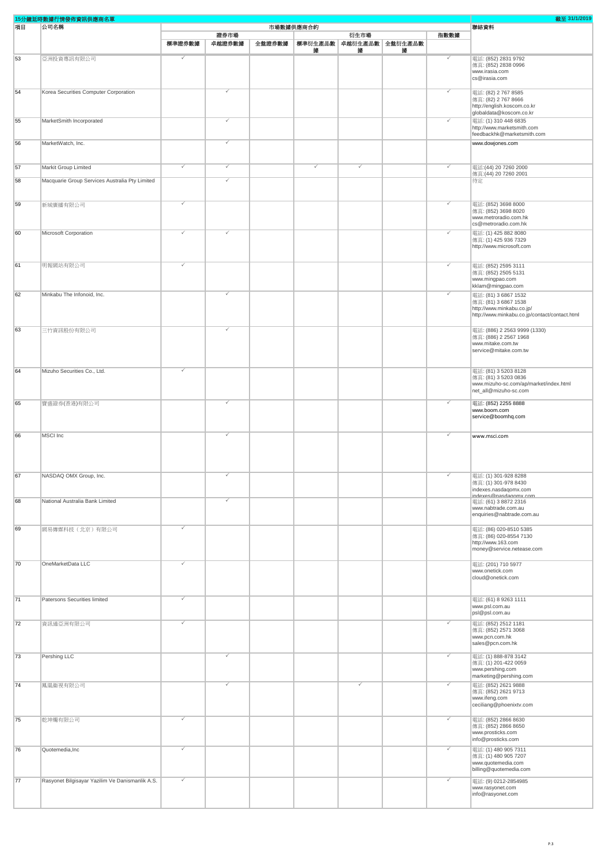|    | 15分鐘延時數據行情發佈資訊供應商名單                             |        |              |        |           |      |                         |      | 截至 31/1/2019                                                   |
|----|-------------------------------------------------|--------|--------------|--------|-----------|------|-------------------------|------|----------------------------------------------------------------|
| 項目 | 公司名稱                                            |        |              |        | 市場數據供應商合約 |      |                         |      | 聯絡資料                                                           |
|    |                                                 |        | 證券市場         |        |           | 衍生市場 |                         | 指數數據 |                                                                |
|    |                                                 | 標準證券數據 | 卓越證券數據       | 全盤證券數據 |           |      | 標準衍生產品數 卓越衍生產品數 全盤衍生產品數 |      |                                                                |
| 53 | 亞洲投資專訊有限公司                                      | ✓      |              |        | 撪         | 據    | 據                       | ✓    | 電話: (852) 2831 9792                                            |
|    |                                                 |        |              |        |           |      |                         |      | 傳真: (852) 2838 0996                                            |
|    |                                                 |        |              |        |           |      |                         |      | www.irasia.com                                                 |
|    |                                                 |        |              |        |           |      |                         |      | cs@irasia.com                                                  |
| 54 | Korea Securities Computer Corporation           |        | $\checkmark$ |        |           |      |                         | ✓    | 電話: (82) 2 767 8585                                            |
|    |                                                 |        |              |        |           |      |                         |      | 傳真: (82) 2 767 8666                                            |
|    |                                                 |        |              |        |           |      |                         |      | http://english.koscom.co.kr<br>globaldata@koscom.co.kr         |
| 55 | MarketSmith Incorporated                        |        |              |        |           |      |                         |      | 電話: (1) 310 448 6835                                           |
|    |                                                 |        |              |        |           |      |                         |      | http://www.marketsmith.com                                     |
|    |                                                 |        | $\checkmark$ |        |           |      |                         |      | feedbackhk@marketsmith.com                                     |
| 56 | MarketWatch, Inc.                               |        |              |        |           |      |                         |      | www.dowjones.com                                               |
|    |                                                 |        |              |        |           |      |                         |      |                                                                |
| 57 | Markit Group Limited                            | ✓      |              |        |           |      |                         | ⊽    | 電話: (44) 20 7260 2000                                          |
|    |                                                 |        |              |        |           |      |                         |      | 傳真: (44) 20 7260 2001                                          |
| 58 | Macquarie Group Services Australia Pty Limited  |        | $\checkmark$ |        |           |      |                         |      | 待定                                                             |
|    |                                                 |        |              |        |           |      |                         |      |                                                                |
| 59 | 新城廣播有限公司                                        | ✓      |              |        |           |      |                         | ✓    | 電話: (852) 3698 8000                                            |
|    |                                                 |        |              |        |           |      |                         |      | 傳真: (852) 3698 8020                                            |
|    |                                                 |        |              |        |           |      |                         |      | www.metroradio.com.hk<br>cs@metroradio.com.hk                  |
| 60 | Microsoft Corporation                           | ₽      | $\checkmark$ |        |           |      |                         | ✓    | 電話: (1) 425 882 8080                                           |
|    |                                                 |        |              |        |           |      |                         |      | 傳真: (1) 425 936 7329                                           |
|    |                                                 |        |              |        |           |      |                         |      | http://www.microsoft.com                                       |
|    |                                                 |        |              |        |           |      |                         |      |                                                                |
| 61 | 明報網站有限公司                                        | ✓      |              |        |           |      |                         | ✓    | 電話: (852) 2595 3111                                            |
|    |                                                 |        |              |        |           |      |                         |      | 傳真: (852) 2505 5131<br>www.mingpao.com                         |
|    |                                                 |        |              |        |           |      |                         |      | kklam@mingpao.com                                              |
| 62 | Minkabu The Infonoid, Inc.                      |        |              |        |           |      |                         | ✓    | 電話: (81) 3 6867 1532                                           |
|    |                                                 |        |              |        |           |      |                         |      | 傳真: (81) 3 6867 1538<br>http://www.minkabu.co.jp/              |
|    |                                                 |        |              |        |           |      |                         |      | http://www.minkabu.co.jp/contact/contact.html                  |
|    |                                                 |        |              |        |           |      |                         |      |                                                                |
| 63 | 三竹資訊股份有限公司                                      |        |              |        |           |      |                         |      | 電話: (886) 2 2563 9999 (1330)<br>傳真: (886) 2 2567 1968          |
|    |                                                 |        |              |        |           |      |                         |      | www.mitake.com.tw                                              |
|    |                                                 |        |              |        |           |      |                         |      | service@mitake.com.tw                                          |
|    |                                                 |        |              |        |           |      |                         |      |                                                                |
| 64 | Mizuho Securities Co., Ltd.                     |        |              |        |           |      |                         |      | 電話: (81) 3 5203 8128                                           |
|    |                                                 |        |              |        |           |      |                         |      | 傳真: (81) 3 5203 0836<br>www.mizuho-sc.com/ap/market/index.html |
|    |                                                 |        |              |        |           |      |                         |      | net_all@mizuho-sc.com                                          |
| 65 | 寶盛證券(香港)有限公司                                    |        | $\checkmark$ |        |           |      |                         | ✓    | 電話: (852) 2255 8888                                            |
|    |                                                 |        |              |        |           |      |                         |      | www.boom.com                                                   |
|    |                                                 |        |              |        |           |      |                         |      | service@boomhq.com                                             |
|    |                                                 |        |              |        |           |      |                         |      |                                                                |
| 66 | MSCI Inc                                        |        | $\checkmark$ |        |           |      |                         | ✓    | www.msci.com                                                   |
|    |                                                 |        |              |        |           |      |                         |      |                                                                |
|    |                                                 |        |              |        |           |      |                         |      |                                                                |
|    |                                                 |        |              |        |           |      |                         |      |                                                                |
| 67 | NASDAQ OMX Group, Inc.                          |        |              |        |           |      |                         |      | 電話: (1) 301-928 8288<br>傳真: (1) 301-978 8430                   |
|    |                                                 |        |              |        |           |      |                         |      | indexes.nasdaqomx.com                                          |
| 68 | National Australia Bank Limited                 |        | ✓            |        |           |      |                         |      | indexes@nasdagomx.com<br>電話: (61) 3 8872 2316                  |
|    |                                                 |        |              |        |           |      |                         |      | www.nabtrade.com.au                                            |
|    |                                                 |        |              |        |           |      |                         |      | enquiries@nabtrade.com.au                                      |
| 69 | 網易傳媒科技(北京)有限公司                                  | ✓      |              |        |           |      |                         |      | 電話: (86) 020-8510 5385                                         |
|    |                                                 |        |              |        |           |      |                         |      | 傳真: (86) 020-8554 7130                                         |
|    |                                                 |        |              |        |           |      |                         |      | http://www.163.com<br>money@service.netease.com                |
|    |                                                 |        |              |        |           |      |                         |      |                                                                |
| 70 | OneMarketData LLC                               |        |              |        |           |      |                         |      | 電話: (201) 710 5977                                             |
|    |                                                 |        |              |        |           |      |                         |      | www.onetick.com<br>cloud@onetick.com                           |
|    |                                                 |        |              |        |           |      |                         |      |                                                                |
| 71 |                                                 | ✓      |              |        |           |      |                         |      |                                                                |
|    | Patersons Securities limited                    |        |              |        |           |      |                         |      | 電話: (61) 8 9263 1111<br>www.psl.com.au                         |
|    |                                                 |        |              |        |           |      |                         |      | psl@psl.com.au                                                 |
| 72 | 資訊通亞洲有限公司                                       |        |              |        |           |      |                         | ✓    | 電話: (852) 2512 1181                                            |
|    |                                                 |        |              |        |           |      |                         |      | 傅真: (852) 2571 3068<br>www.pcn.com.hk                          |
|    |                                                 |        |              |        |           |      |                         |      | sales@pcn.com.hk                                               |
| 73 | Pershing LLC                                    |        |              |        |           |      |                         | ✓    | 電話: (1) 888-878 3142                                           |
|    |                                                 |        |              |        |           |      |                         |      | 傳真: (1) 201-422 0059                                           |
|    |                                                 |        |              |        |           |      |                         |      | www.pershing.com<br>marketing@pershing.com                     |
| 74 |                                                 |        |              |        |           |      |                         | ✓    |                                                                |
|    | 鳳凰衞視有限公司                                        |        |              |        |           |      |                         |      | 電話: (852) 2621 9888<br>傳真: (852) 2621 9713                     |
|    |                                                 |        |              |        |           |      |                         |      | www.ifeng.com                                                  |
|    |                                                 |        |              |        |           |      |                         |      | ceciliang@phoenixtv.com                                        |
| 75 | 乾坤燭有限公司                                         | ✓      |              |        |           |      |                         | ✓    | 電話: (852) 2866 8630                                            |
|    |                                                 |        |              |        |           |      |                         |      | 傳真: (852) 2866 8650<br>www.prosticks.com                       |
|    |                                                 |        |              |        |           |      |                         |      | info@prosticks.com                                             |
| 76 | Quotemedia, Inc                                 |        |              |        |           |      |                         | ✓    | 電話: (1) 480 905 7311                                           |
|    |                                                 |        |              |        |           |      |                         |      | 傳真: (1) 480 905 7207                                           |
|    |                                                 |        |              |        |           |      |                         |      | www.quotemedia.com<br>billing@quotemedia.com                   |
|    |                                                 | ✓      |              |        |           |      |                         | ✓    |                                                                |
| 77 | Rasyonet Bilgisayar Yazilim Ve Danismanlik A.S. |        |              |        |           |      |                         |      | 電話: (9) 0212-2854985<br>www.rasyonet.com                       |
|    |                                                 |        |              |        |           |      |                         |      | info@rasyonet.com                                              |
|    |                                                 |        |              |        |           |      |                         |      |                                                                |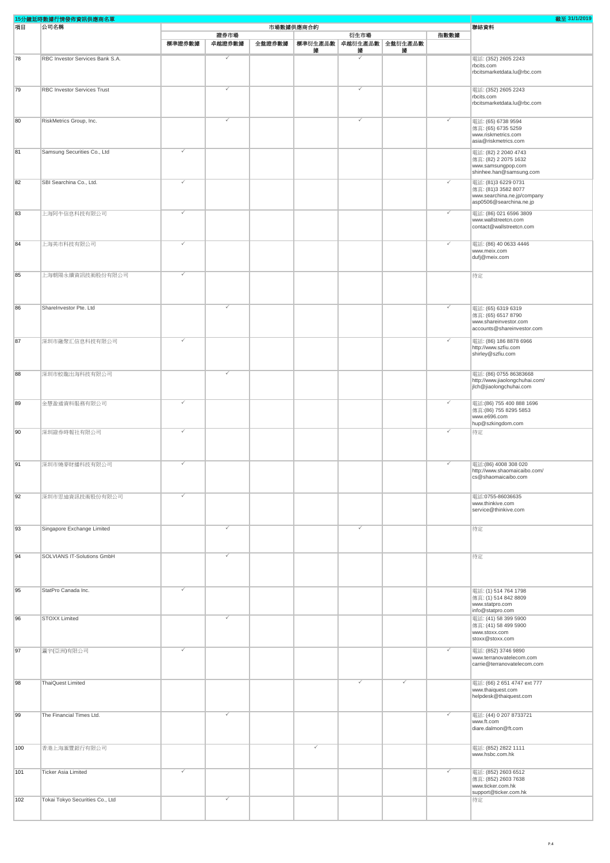| 15分鐘延時數據行情發佈資訊供應商名單 |                                    |        |              |        |           |                              |   |      | 截至 31/1/2019                                           |
|---------------------|------------------------------------|--------|--------------|--------|-----------|------------------------------|---|------|--------------------------------------------------------|
| 項目                  | 公司名稱                               |        |              |        | 市場數據供應商合約 |                              |   |      | 聯絡資料                                                   |
|                     |                                    |        | 證券市場         |        |           | 衍生市場                         |   | 指數數據 |                                                        |
|                     |                                    | 標準證券數據 | 卓越證券數據       | 全盤證券數據 | 據         | 標準衍生產品數 卓越衍生產品數 全盤衍生產品數<br>據 | 據 |      |                                                        |
| 78                  | RBC Investor Services Bank S.A.    |        |              |        |           |                              |   |      | 電話: (352) 2605 2243                                    |
|                     |                                    |        |              |        |           |                              |   |      | rbcits.com                                             |
|                     |                                    |        |              |        |           |                              |   |      | rbcitsmarketdata.lu@rbc.com                            |
|                     |                                    |        |              |        |           |                              |   |      |                                                        |
| 79                  | <b>RBC Investor Services Trust</b> |        |              |        |           |                              |   |      | 電話: (352) 2605 2243                                    |
|                     |                                    |        |              |        |           |                              |   |      | rbcits.com<br>rbcitsmarketdata.lu@rbc.com              |
|                     |                                    |        |              |        |           |                              |   |      |                                                        |
| 80                  | RiskMetrics Group, Inc.            |        |              |        |           |                              |   | ✓    | 電話: (65) 6738 9594                                     |
|                     |                                    |        |              |        |           |                              |   |      | 傳真: (65) 6735 5259                                     |
|                     |                                    |        |              |        |           |                              |   |      | www.riskmetrics.com                                    |
|                     |                                    |        |              |        |           |                              |   |      | asia@riskmetrics.com                                   |
| 81                  | Samsung Securities Co., Ltd        | ✓      |              |        |           |                              |   |      | 電話: (82) 2 2040 4743                                   |
|                     |                                    |        |              |        |           |                              |   |      | 傳真: (82) 2 2075 1632<br>www.samsungpop.com             |
|                     |                                    |        |              |        |           |                              |   |      | shinhee.han@samsung.com                                |
| 82                  | SBI Searchina Co., Ltd.            |        |              |        |           |                              |   | ✓    | 電話: (81)3 6229 0731                                    |
|                     |                                    |        |              |        |           |                              |   |      | 傳真: (81)3 3582 8077                                    |
|                     |                                    |        |              |        |           |                              |   |      | www.searchina.ne.jp/company<br>asp0506@searchina.ne.jp |
|                     |                                    |        |              |        |           |                              |   |      |                                                        |
| 83                  | 上海阿牛信息科技有限公司                       | J      |              |        |           |                              |   | ✓    | 電話: (86) 021 6596 3809<br>www.wallstreetcn.com         |
|                     |                                    |        |              |        |           |                              |   |      | contact@wallstreetcn.com                               |
|                     |                                    |        |              |        |           |                              |   |      |                                                        |
| 84                  | 上海美市科技有限公司                         |        |              |        |           |                              |   | ✓    | 電話: (86) 40 0633 4446                                  |
|                     |                                    |        |              |        |           |                              |   |      | www.meix.com                                           |
|                     |                                    |        |              |        |           |                              |   |      | dufj@meix.com                                          |
|                     |                                    |        |              |        |           |                              |   |      |                                                        |
| 85                  | 上海朝陽永續資訊技術股份有限公司                   |        |              |        |           |                              |   |      | 待定                                                     |
|                     |                                    |        |              |        |           |                              |   |      |                                                        |
|                     |                                    |        |              |        |           |                              |   |      |                                                        |
| 86                  | ShareInvestor Pte. Ltd             |        |              |        |           |                              |   | ✓    |                                                        |
|                     |                                    |        |              |        |           |                              |   |      | 電話: (65) 6319 6319<br>傳真: (65) 6517 8790               |
|                     |                                    |        |              |        |           |                              |   |      | www.shareinvestor.com                                  |
|                     |                                    |        |              |        |           |                              |   |      | accounts@shareinvestor.com                             |
| 87                  | 深圳市融聚汇信息科技有限公司                     | ✓      |              |        |           |                              |   | ✓    | 電話: (86) 186 8878 6966                                 |
|                     |                                    |        |              |        |           |                              |   |      | http://www.szfiu.com                                   |
|                     |                                    |        |              |        |           |                              |   |      | shirley@szfiu.com                                      |
|                     |                                    |        |              |        |           |                              |   |      |                                                        |
| 88                  | 深圳市蛟龍出海科技有限公司                      |        | ✓            |        |           |                              |   |      | 電話: (86) 0755 86383668                                 |
|                     |                                    |        |              |        |           |                              |   |      | http://www.jiaolongchuhai.com/                         |
|                     |                                    |        |              |        |           |                              |   |      | jlch@jiaolongchuhai.com                                |
| 89                  | 金慧盈通資料服務有限公司                       |        |              |        |           |                              |   | ✓    | 電話: (86) 755 400 888 1696                              |
|                     |                                    |        |              |        |           |                              |   |      | 傳真: (86) 755 8295 5853                                 |
|                     |                                    |        |              |        |           |                              |   |      | www.e696.com                                           |
|                     |                                    |        |              |        |           |                              |   |      | hup@szkingdom.com                                      |
| 90                  | 深圳證券時報社有限公司                        |        |              |        |           |                              |   |      | 待定                                                     |
|                     |                                    |        |              |        |           |                              |   |      |                                                        |
|                     |                                    |        |              |        |           |                              |   |      |                                                        |
| 91                  | 深圳市燒麥財播科技有限公司                      | ✓      |              |        |           |                              |   | ✓    | 電話: (86) 4008 308 020                                  |
|                     |                                    |        |              |        |           |                              |   |      | http://www.shaomaicaibo.com/                           |
|                     |                                    |        |              |        |           |                              |   |      | cs@shaomaicaibo.com                                    |
|                     |                                    |        |              |        |           |                              |   |      |                                                        |
| 92                  | 深圳市思迪資訊技術股份有限公司                    |        |              |        |           |                              |   |      | 電話:0755-86036635                                       |
|                     |                                    |        |              |        |           |                              |   |      | www.thinkive.com<br>service@thinkive.com               |
|                     |                                    |        |              |        |           |                              |   |      |                                                        |
|                     |                                    |        | $\checkmark$ |        |           | ✓                            |   |      |                                                        |
| 93                  | Singapore Exchange Limited         |        |              |        |           |                              |   |      | 待定                                                     |
|                     |                                    |        |              |        |           |                              |   |      |                                                        |
|                     |                                    |        |              |        |           |                              |   |      |                                                        |
| 94                  | SOLVIANS IT-Solutions GmbH         |        |              |        |           |                              |   |      | 待定                                                     |
|                     |                                    |        |              |        |           |                              |   |      |                                                        |
|                     |                                    |        |              |        |           |                              |   |      |                                                        |
|                     |                                    |        |              |        |           |                              |   |      |                                                        |
| 95                  | StatPro Canada Inc.                | ✓      |              |        |           |                              |   |      | 電話: (1) 514 764 1798<br>傳真: (1) 514 842 8809           |
|                     |                                    |        |              |        |           |                              |   |      | www.statpro.com                                        |
|                     |                                    |        |              |        |           |                              |   |      | info@statpro.com                                       |
| 96                  | <b>STOXX Limited</b>               |        |              |        |           |                              |   |      | 電話: (41) 58 399 5900                                   |
|                     |                                    |        |              |        |           |                              |   |      | 傳真: (41) 58 499 5900<br>www.stoxx.com                  |
|                     |                                    |        |              |        |           |                              |   |      | stoxx@stoxx.com                                        |
|                     |                                    |        |              |        |           |                              |   | ✓    |                                                        |
| 97                  | 瀛宇(亞洲)有限公司                         |        |              |        |           |                              |   |      | 電話: (852) 3746 9890<br>www.terranovatelecom.com        |
|                     |                                    |        |              |        |           |                              |   |      | carrie@terranovatelecom.com                            |
|                     |                                    |        |              |        |           |                              |   |      |                                                        |
| 98                  | ThaiQuest Limited                  |        |              |        |           |                              | ✓ |      | 電話: (66) 2 651 4747 ext 777                            |
|                     |                                    |        |              |        |           |                              |   |      | www.thaiquest.com                                      |
|                     |                                    |        |              |        |           |                              |   |      | helpdesk@thaiquest.com                                 |
|                     |                                    |        |              |        |           |                              |   |      |                                                        |
| 99                  | The Financial Times Ltd.           |        |              |        |           |                              |   |      | 電話: (44) 0 207 8733721                                 |
|                     |                                    |        |              |        |           |                              |   |      | www.ft.com<br>diare.dalmon@ft.com                      |
|                     |                                    |        |              |        |           |                              |   |      |                                                        |
|                     |                                    |        |              |        |           |                              |   |      |                                                        |
| 100                 | 香港上海滙豐銀行有限公司                       |        |              |        |           |                              |   |      | 電話: (852) 2822 1111<br>www.hsbc.com.hk                 |
|                     |                                    |        |              |        |           |                              |   |      |                                                        |
| 101                 | <b>Ticker Asia Limited</b>         |        |              |        |           |                              |   | ✓    | 電話: (852) 2603 6512                                    |
|                     |                                    |        |              |        |           |                              |   |      | 傳真: (852) 2603 7638                                    |
|                     |                                    |        |              |        |           |                              |   |      | www.ticker.com.hk                                      |
|                     |                                    |        |              |        |           |                              |   |      | support@ticker.com.hk                                  |
| 102                 | Tokai Tokyo Securities Co., Ltd    |        |              |        |           |                              |   |      | 待定                                                     |
|                     |                                    |        |              |        |           |                              |   |      |                                                        |